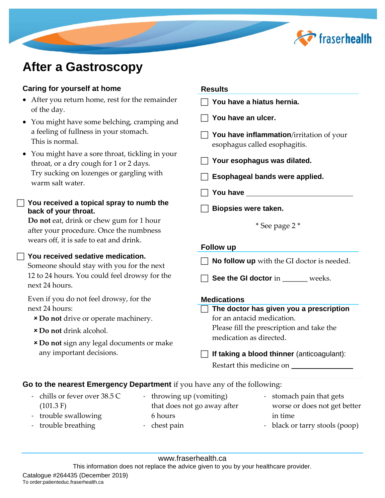

# **After a Gastroscopy**

# **Caring for yourself at home**

- After you return home, rest for the remainder of the day.
- You might have some belching, cramping and a feeling of fullness in your stomach. This is normal.
- You might have a sore throat, tickling in your throat, or a dry cough for 1 or 2 days. Try sucking on lozenges or gargling with warm salt water.

## **You received a topical spray to numb the back of your throat.**

**Do not** eat, drink or chew gum for 1 hour after your procedure. Once the numbness wears off, it is safe to eat and drink.

# **You received sedative medication.**

Someone should stay with you for the next 12 to 24 hours. You could feel drowsy for the next 24 hours.

Even if you do not feel drowsy, for the next 24 hours:

- **Do not** drive or operate machinery.
- **Do not** drink alcohol.
- **Do not** sign any legal documents or make any important decisions.

#### **Results**

 **You have a hiatus hernia. You have an ulcer. T** You have inflammation/irritation of your esophagus called esophagitis. **Your esophagus was dilated. Esophageal bands were applied. You have Biopsies were taken.** \* See page 2 \* **Follow up No follow up** with the GI doctor is needed. **See the GI doctor** in **weeks. Medications The doctor has given you a prescription** for an antacid medication. Please fill the prescription and take the medication as directed. **If taking a blood thinner** (anticoagulant): Restart this medicine on

## **Go to the nearest Emergency Department** if you have any of the following:

- chills or fever over 38.5 C (101.3 F)
- throwing up (vomiting) that does not go away after 6 hours - chest pain
- stomach pain that gets worse or does not get better in time
- black or tarry stools (poop)

- trouble swallowing - trouble breathing

www.fraserhealth.ca

This information does not replace the advice given to you by your healthcare provider.